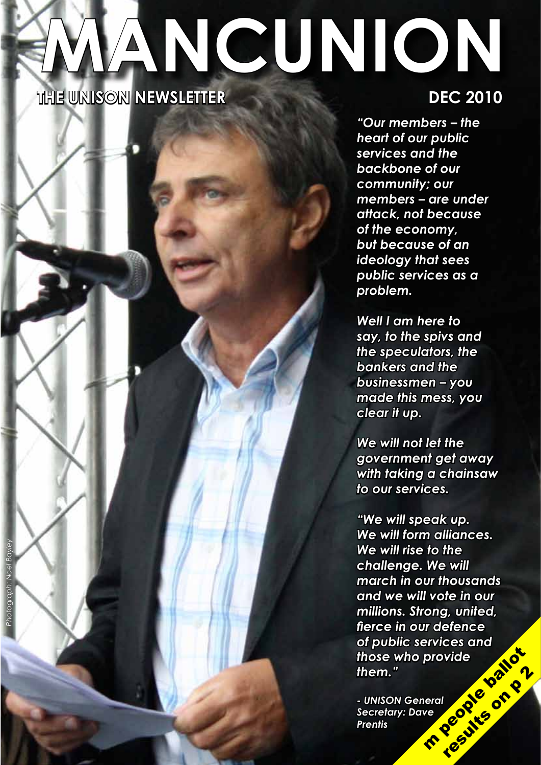# **THE UNISON NEWSLETTER DEC 2010 MANCUNION**

*Photograph: Noel Bayley*

notograph: Noel Bayle

*"Our members – the heart of our public services and the backbone of our community; our members – are under attack, not because of the economy, but because of an ideology that sees public services as a problem.*

*Well I am here to say, to the spivs and the speculators, the bankers and the businessmen – you made this mess, you clear it up.*

*We will not let the government get away with taking a chainsaw to our services.*

*"We will speak up. We will form alliances. We will rise to the challenge. We will march in our thousands and we will vote in our millions. Strong, united, fierce in our defence of public services and those who provide them."* m people ballot results on p 2

*- UNISON General Secretary: Dave Prentis*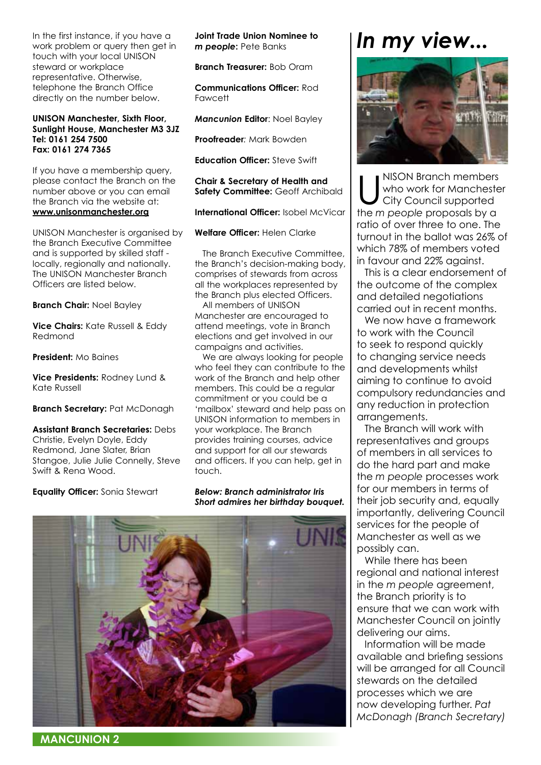In the first instance, if you have a work problem or query then get in touch with your local UNISON steward or workplace representative. Otherwise, telephone the Branch Office directly on the number below.

#### **UNISON Manchester, Sixth Floor, Sunlight House, Manchester M3 3JZ Tel: 0161 254 7500 Fax: 0161 274 7365**

If you have a membership query, please contact the Branch on the number above or you can email the Branch via the website at: **www.unisonmanchester.org**

UNISON Manchester is organised by the Branch Executive Committee and is supported by skilled staff locally, regionally and nationally. The UNISON Manchester Branch Officers are listed below.

**Branch Chair:** Noel Bayley

**Vice Chairs:** Kate Russell & Eddy Redmond

**President:** Mo Baines

**Vice Presidents:** Rodney Lund & Kate Russell

#### **Branch Secretary:** Pat McDonagh

**Assistant Branch Secretaries:** Debs Christie, Evelyn Doyle, Eddy Redmond, Jane Slater, Brian Stangoe, Julie Julie Connelly, Steve Swift & Rena Wood.

**Equality Officer:** Sonia Stewart

**Joint Trade Union Nominee to**  *m people***:** Pete Banks

**Branch Treasurer:** Bob Oram

**Communications Officer:** Rod Fawcett

*Mancunion* **Editor**: Noel Bayley

**Proofreader***:* Mark Bowden

**Education Officer:** Steve Swift

**Chair & Secretary of Health and Safety Committee: Geoff Archibald** 

**International Officer:** Isobel McVicar

**Welfare Officer:** Helen Clarke

The Branch Executive Committee, the Branch's decision-making body, comprises of stewards from across all the workplaces represented by the Branch plus elected Officers.

All members of UNISON Manchester are encouraged to attend meetings, vote in Branch elections and get involved in our campaigns and activities.

We are always looking for people who feel they can contribute to the work of the Branch and help other members. This could be a regular commitment or you could be a 'mailbox' steward and help pass on UNISON information to members in your workplace. The Branch provides training courses, advice and support for all our stewards and officers. If you can help, get in touch.

*Below: Branch administrator Iris Short admires her birthday bouquet.*



### *In my view...*



WISON Branch members<br>
who work for Mancheste<br>
City Council supported<br>
the managed presences by a who work for Manchester City Council supported the *m people* proposals by a ratio of over three to one. The turnout in the ballot was 26% of which 78% of members voted in favour and 22% against.

This is a clear endorsement of the outcome of the complex and detailed negotiations carried out in recent months.

We now have a framework to work with the Council to seek to respond quickly to changing service needs and developments whilst aiming to continue to avoid compulsory redundancies and any reduction in protection arrangements.

The Branch will work with representatives and groups of members in all services to do the hard part and make the *m people* processes work for our members in terms of their job security and, equally importantly, delivering Council services for the people of Manchester as well as we possibly can.

While there has been regional and national interest in the *m people* agreement, the Branch priority is to ensure that we can work with Manchester Council on jointly delivering our aims.

Information will be made available and briefing sessions will be arranged for all Council stewards on the detailed processes which we are now developing further. *Pat McDonagh (Branch Secretary)*

**MANCUNION 2**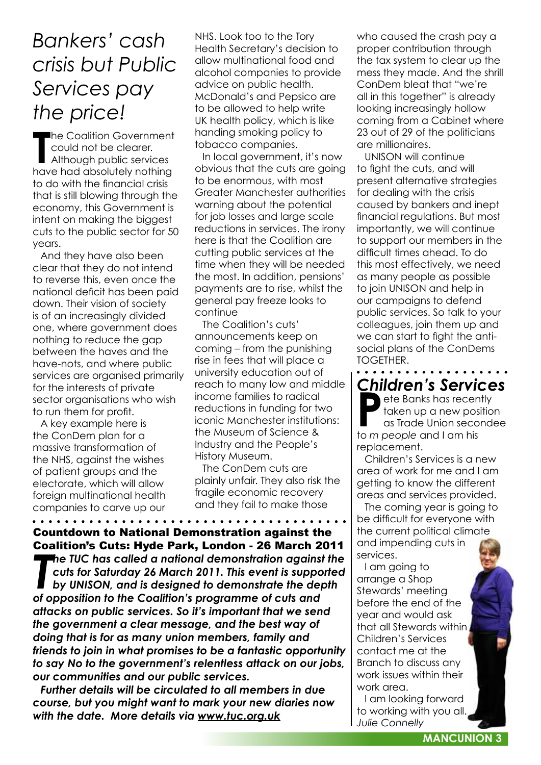### *Bankers' cash crisis but Public Services pay the price!*

The Coalition Government<br>
could not be clearer.<br>
Although public services<br>
have had absolutely nothing he Coalition Government could not be clearer. Although public services to do with the financial crisis that is still blowing through the economy, this Government is intent on making the biggest cuts to the public sector for 50 years.

And they have also been clear that they do not intend to reverse this, even once the national deficit has been paid down. Their vision of society is of an increasingly divided one, where government does nothing to reduce the gap between the haves and the have-nots, and where public services are organised primarily for the interests of private sector organisations who wish to run them for profit.

A key example here is the ConDem plan for a massive transformation of the NHS, against the wishes of patient groups and the electorate, which will allow foreign multinational health companies to carve up our NHS. Look too to the Tory Health Secretary's decision to allow multinational food and alcohol companies to provide advice on public health. McDonald's and Pepsico are to be allowed to help write UK health policy, which is like handing smoking policy to tobacco companies.

In local government, it's now obvious that the cuts are going to be enormous, with most Greater Manchester authorities warning about the potential for job losses and large scale reductions in services. The irony here is that the Coalition are cutting public services at the time when they will be needed the most. In addition, pensions' payments are to rise, whilst the general pay freeze looks to continue

The Coalition's cuts' announcements keep on coming – from the punishing rise in fees that will place a university education out of reach to many low and middle income families to radical reductions in funding for two iconic Manchester institutions: the Museum of Science & Industry and the People's History Museum.

The ConDem cuts are plainly unfair. They also risk the fragile economic recovery and they fail to make those

**The TUC has called a national demonstration against cuts for Saturday 26 March 2011. This event is supposition to the Coalition's programme of cuts and** *he TUC has called a national demonstration against the cuts for Saturday 26 March 2011. This event is supported by UNISON, and is designed to demonstrate the depth attacks on public services. So it's important that we send the government a clear message, and the best way of doing that is for as many union members, family and friends to join in what promises to be a fantastic opportunity to say No to the government's relentless attack on our jobs, our communities and our public services.* Countdown to National Demonstration against the Coalition's Cuts: Hyde Park, London - 26 March 2011

*Further details will be circulated to all members in due course, but you might want to mark your new diaries now with the date. More details via www.tuc.org.uk*

who caused the crash pay a proper contribution through the tax system to clear up the mess they made. And the shrill ConDem bleat that "we're all in this together" is already looking increasingly hollow coming from a Cabinet where 23 out of 29 of the politicians are millionaires.

UNISON will continue to fight the cuts, and will present alternative strategies for dealing with the crisis caused by bankers and inept financial regulations. But most importantly, we will continue to support our members in the difficult times ahead. To do this most effectively, we need as many people as possible to join UNISON and help in our campaigns to defend public services. So talk to your colleagues, join them up and we can start to fight the antisocial plans of the ConDems TOGETHER.

*Children's Services* ete Banks has recently taken up a new position as Trade Union secondee to *m people* and I am his replacement.

. . . . . .

Children's Services is a new area of work for me and I am getting to know the different areas and services provided.

The coming year is going to be difficult for everyone with the current political climate and impending cuts in services.

I am going to arrange a Shop Stewards' meeting before the end of the year and would ask that all Stewards within Children's Services contact me at the Branch to discuss any work issues within their work area.

I am looking forward to working with you all. *Julie Connelly*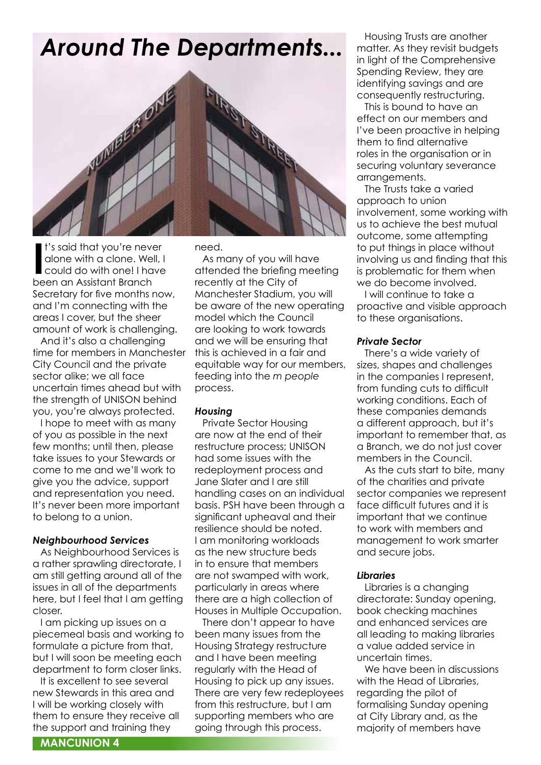## *Around The Departments...*



I's said that you're never<br>alone with a clone. We<br>could do with one! I ha<br>been an Assistant Branch t's said that you're never alone with a clone. Well, I could do with one! I have Secretary for five months now, and I'm connecting with the areas I cover, but the sheer amount of work is challenging.

And it's also a challenging time for members in Manchester City Council and the private sector alike; we all face uncertain times ahead but with the strength of UNISON behind you, you're always protected.

I hope to meet with as many of you as possible in the next few months; until then, please take issues to your Stewards or come to me and we'll work to give you the advice, support and representation you need. It's never been more important to belong to a union.

#### *Neighbourhood Services*

As Neighbourhood Services is a rather sprawling directorate, I am still getting around all of the issues in all of the departments here, but I feel that I am getting closer.

I am picking up issues on a piecemeal basis and working to formulate a picture from that, but I will soon be meeting each department to form closer links.

It is excellent to see several new Stewards in this area and I will be working closely with them to ensure they receive all the support and training they

need.

As many of you will have attended the briefing meeting recently at the City of Manchester Stadium, you will be aware of the new operating model which the Council are looking to work towards and we will be ensuring that this is achieved in a fair and equitable way for our members, feeding into the *m people* process.

#### *Housing*

Private Sector Housing are now at the end of their restructure process; UNISON had some issues with the redeployment process and Jane Slater and I are still handling cases on an individual basis. PSH have been through a significant upheaval and their resilience should be noted. I am monitoring workloads as the new structure beds in to ensure that members are not swamped with work, particularly in areas where there are a high collection of Houses in Multiple Occupation.

There don't appear to have been many issues from the Housing Strategy restructure and I have been meeting regularly with the Head of Housing to pick up any issues. There are very few redeployees from this restructure, but I am supporting members who are going through this process.

Housing Trusts are another matter. As they revisit budgets in light of the Comprehensive Spending Review, they are identifying savings and are consequently restructuring.

This is bound to have an effect on our members and I've been proactive in helping them to find alternative roles in the organisation or in securing voluntary severance arrangements.

The Trusts take a varied approach to union involvement, some working with us to achieve the best mutual outcome, some attempting to put things in place without involving us and finding that this is problematic for them when we do become involved.

I will continue to take a proactive and visible approach to these organisations.

#### *Private Sector*

There's a wide variety of sizes, shapes and challenges in the companies I represent, from funding cuts to difficult working conditions. Each of these companies demands a different approach, but it's important to remember that, as a Branch, we do not just cover members in the Council.

As the cuts start to bite, many of the charities and private sector companies we represent face difficult futures and it is important that we continue to work with members and management to work smarter and secure jobs.

#### *Libraries*

Libraries is a changing directorate: Sunday opening, book checking machines and enhanced services are all leading to making libraries a value added service in uncertain times.

We have been in discussions with the Head of Libraries, regarding the pilot of formalising Sunday opening at City Library and, as the majority of members have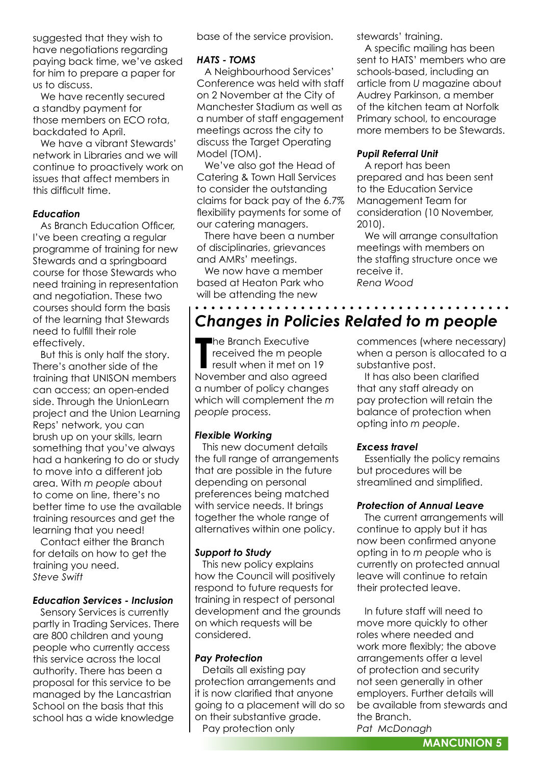suggested that they wish to have negotiations regarding paying back time, we've asked for him to prepare a paper for us to discuss.

We have recently secured a standby payment for those members on ECO rota, backdated to April.

We have a vibrant Stewards' network in Libraries and we will continue to proactively work on issues that affect members in this difficult time.

#### *Education*

As Branch Education Officer, I've been creating a regular programme of training for new Stewards and a springboard course for those Stewards who need training in representation and negotiation. These two courses should form the basis of the learning that Stewards need to fulfill their role effectively.

But this is only half the story. There's another side of the training that UNISON members can access; an open-ended side. Through the UnionLearn project and the Union Learning Reps' network, you can brush up on your skills, learn something that you've always had a hankering to do or study to move into a different job area. With *m people* about to come on line, there's no better time to use the available training resources and get the learning that you need!

Contact either the Branch for details on how to get the training you need. *Steve Swift*

#### *Education Services - Inclusion*

Sensory Services is currently partly in Trading Services. There are 800 children and young people who currently access this service across the local authority. There has been a proposal for this service to be managed by the Lancastrian School on the basis that this school has a wide knowledge

base of the service provision.

#### *HATS - TOMS*

A Neighbourhood Services' Conference was held with staff on 2 November at the City of Manchester Stadium as well as a number of staff engagement meetings across the city to discuss the Target Operating Model (TOM).

We've also got the Head of Catering & Town Hall Services to consider the outstanding claims for back pay of the 6.7% flexibility payments for some of our catering managers.

There have been a number of disciplinaries, grievances and AMRs' meetings.

We now have a member based at Heaton Park who will be attending the new

. . . . . . . . . . . . .

stewards' training.

A specific mailing has been sent to HATS' members who are schools-based, including an article from *U* magazine about Audrey Parkinson, a member of the kitchen team at Norfolk Primary school, to encourage more members to be Stewards.

#### *Pupil Referral Unit*

A report has been prepared and has been sent to the Education Service Management Team for consideration (10 November, 2010).

We will arrange consultation meetings with members on the staffing structure once we receive it. *Rena Wood*

### *Changes in Policies Related to m people*

The Branch Executive<br>
received the m people<br>
result when it met on 19<br>
November and also agreed he Branch Executive received the m people result when it met on 19 a number of policy changes which will complement the *m people* process.

#### *Flexible Working*

This new document details the full range of arrangements that are possible in the future depending on personal preferences being matched with service needs. It brings together the whole range of alternatives within one policy.

#### *Support to Study*

This new policy explains how the Council will positively respond to future requests for training in respect of personal development and the grounds on which requests will be considered.

#### *Pay Protection*

Details all existing pay protection arrangements and it is now clarified that anyone going to a placement will do so on their substantive grade. Pay protection only

commences (where necessary) when a person is allocated to a substantive post.

It has also been clarified that any staff already on pay protection will retain the balance of protection when opting into *m people*.

#### *Excess travel*

Essentially the policy remains but procedures will be streamlined and simplified.

#### *Protection of Annual Leave*

The current arrangements will continue to apply but it has now been confirmed anyone opting in to *m people* who is currently on protected annual leave will continue to retain their protected leave.

In future staff will need to move more quickly to other roles where needed and work more flexibly; the above arrangements offer a level of protection and security not seen generally in other employers. Further details will be available from stewards and the Branch.

*Pat McDonagh*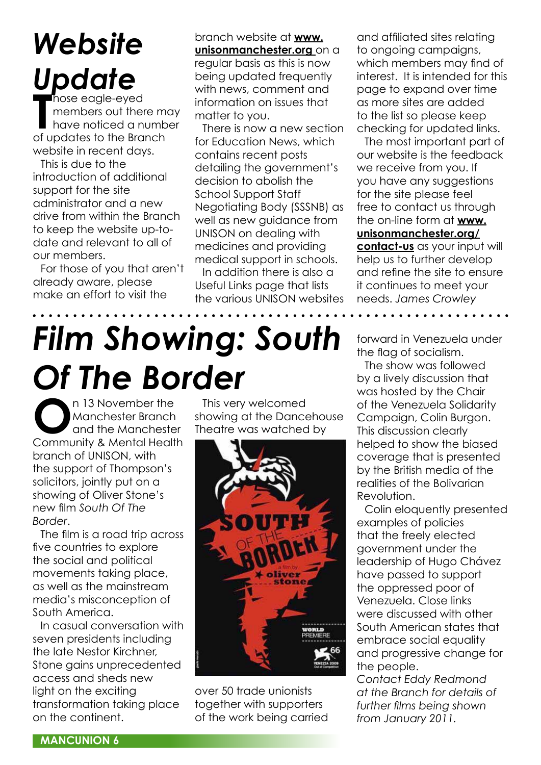### *Website Update* hose eagle-eyed

Those eagle-eyed<br>
members out there members out there<br>
of updates to the Branch members out there may have noticed a number website in recent days.

This is due to the introduction of additional support for the site administrator and a new drive from within the Branch to keep the website up-todate and relevant to all of our members.

For those of you that aren't already aware, please make an effort to visit the

branch website at **www. unisonmanchester.org** on a regular basis as this is now being updated frequently with news, comment and information on issues that matter to you.

There is now a new section for Education News, which contains recent posts detailing the government's decision to abolish the School Support Staff Negotiating Body (SSSNB) as well as new guidance from UNISON on dealing with medicines and providing medical support in schools.

In addition there is also a Useful Links page that lists the various UNISON websites

and affiliated sites relating to ongoing campaigns, which members may find of interest. It is intended for this page to expand over time as more sites are added to the list so please keep checking for updated links.

The most important part of our website is the feedback we receive from you. If you have any suggestions for the site please feel free to contact us through the on-line form at **www. unisonmanchester.org/ contact-us** as your input will help us to further develop and refine the site to ensure it continues to meet your needs. *James Crowley*. . . . . . . . .

# *Film Showing: South Of The Border*

**O**n 13 November the<br>
Manchester Branch<br>
Community 8 Mantel Healt Manchester Branch and the Manchester Community & Mental Health branch of UNISON, with the support of Thompson's solicitors, jointly put on a showing of Oliver Stone's new film *South Of The Border*.

The film is a road trip across five countries to explore the social and political movements taking place, as well as the mainstream media's misconception of South America.

In casual conversation with seven presidents including the late Nestor Kirchner, Stone gains unprecedented access and sheds new light on the exciting transformation taking place on the continent.

This very welcomed showing at the Dancehouse Theatre was watched by



over 50 trade unionists together with supporters of the work being carried forward in Venezuela under the flag of socialism.

The show was followed by a lively discussion that was hosted by the Chair of the Venezuela Solidarity Campaign, Colin Burgon. This discussion clearly helped to show the biased coverage that is presented by the British media of the realities of the Bolivarian Revolution.

Colin eloquently presented examples of policies that the freely elected government under the leadership of Hugo Chávez have passed to support the oppressed poor of Venezuela. Close links were discussed with other South American states that embrace social equality and progressive change for the people.

*Contact Eddy Redmond at the Branch for details of further films being shown from January 2011.*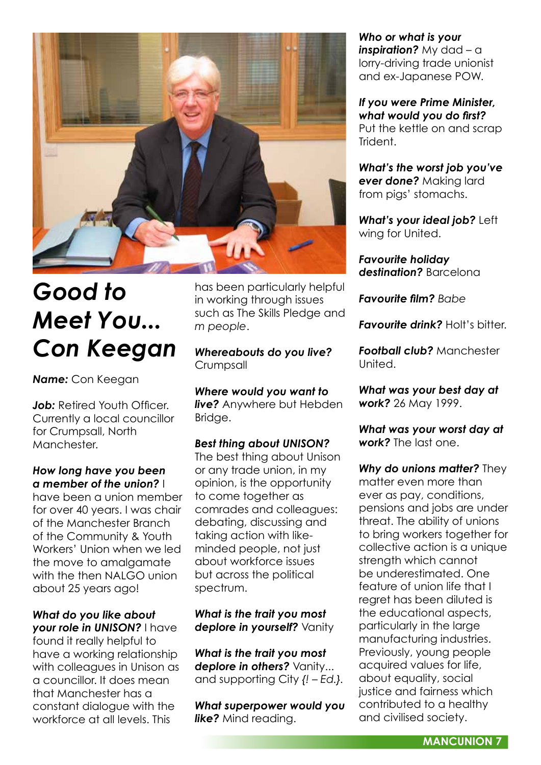

## *Good to Meet You... Con Keegan*

*Name:* Con Keegan

*Job: Retired Youth Officer.* Currently a local councillor for Crumpsall, North **Manchester** 

#### *How long have you been a member of the union?* I

have been a union member for over 40 years. I was chair of the Manchester Branch of the Community & Youth Workers' Union when we led the move to amalgamate with the then NALGO union about 25 years ago!

*What do you like about your role in UNISON?* I have found it really helpful to have a working relationship with colleagues in Unison as a councillor. It does mean that Manchester has a constant dialogue with the workforce at all levels. This

has been particularly helpful in working through issues such as The Skills Pledge and *m people*.

*Whereabouts do you live?*  Crumpsall

*Where would you want to live?* Anywhere but Hebden Bridge.

### *Best thing about UNISON?*

The best thing about Unison or any trade union, in my opinion, is the opportunity to come together as comrades and colleagues: debating, discussing and taking action with likeminded people, not just about workforce issues but across the political spectrum.

### *What is the trait you most deplore in yourself?* Vanity

*What is the trait you most deplore in others?* Vanity... and supporting City *{! – Ed.}.*

*What superpower would you like?* Mind reading.

*Who or what is your inspiration?* My dad – a lorry-driving trade unionist and ex-Japanese POW.

*If you were Prime Minister, what would you do first?*  Put the kettle on and scrap Trident.

*What's the worst job you've ever done?* Making lard from pigs' stomachs.

*What's your ideal job?* Left wing for United.

*Favourite holiday destination?* Barcelona

*Favourite film? Babe*

**Favourite drink?** Holt's bitter.

*Football club?* Manchester United.

*What was your best day at work?* 26 May 1999.

*What was your worst day at work?* The last one.

*Why do unions matter?* They matter even more than ever as pay, conditions, pensions and jobs are under threat. The ability of unions to bring workers together for collective action is a unique strength which cannot be underestimated. One feature of union life that I regret has been diluted is the educational aspects, particularly in the large manufacturing industries. Previously, young people acquired values for life, about equality, social justice and fairness which contributed to a healthy and civilised society.